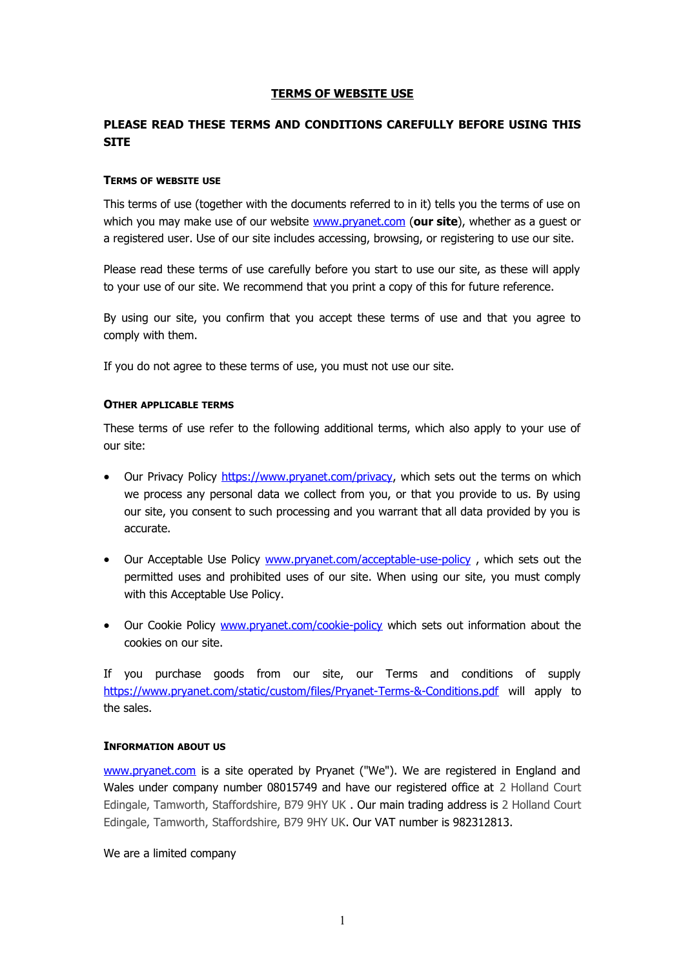### **TERMS OF WEBSITE USE**

# **PLEASE READ THESE TERMS AND CONDITIONS CAREFULLY BEFORE USING THIS SITE**

#### **TERMS OF WEBSITE USE**

This terms of use (together with the documents referred to in it) tells you the terms of use on which you may make use of our website [www.pryanet.com](http://www.pryanet.com/) (**our site**), whether as a guest or a registered user. Use of our site includes accessing, browsing, or registering to use our site.

Please read these terms of use carefully before you start to use our site, as these will apply to your use of our site. We recommend that you print a copy of this for future reference.

By using our site, you confirm that you accept these terms of use and that you agree to comply with them.

If you do not agree to these terms of use, you must not use our site.

#### **OTHER APPLICABLE TERMS**

These terms of use refer to the following additional terms, which also apply to your use of our site:

- Our Privacy Policy [https://www.pryanet.com/privacy,](https://www.pryanet.com/privacy) which sets out the terms on which we process any personal data we collect from you, or that you provide to us. By using our site, you consent to such processing and you warrant that all data provided by you is accurate.
- Our Acceptable Use Policy www.pryanet.com/acceptable-use-policy, which sets out the permitted uses and prohibited uses of our site. When using our site, you must comply with this Acceptable Use Policy.
- Our Cookie Policy [www.pryanet.com/cookie-policy](http://www.pryanet.com/cookie-policy) which sets out information about the cookies on our site.

If you purchase goods from our site, our Terms and conditions of supply <https://www.pryanet.com/static/custom/files/Pryanet-Terms-&-Conditions.pdf>will apply to the sales.

#### **INFORMATION ABOUT US**

[www.pryanet.com](http://www.pryanet.com/) is a site operated by Pryanet ("We"). We are registered in England and Wales under company number 08015749 and have our registered office at 2 Holland Court Edingale, Tamworth, Staffordshire, B79 9HY UK . Our main trading address is 2 Holland Court Edingale, Tamworth, Staffordshire, B79 9HY UK. Our VAT number is 982312813.

#### We are a limited company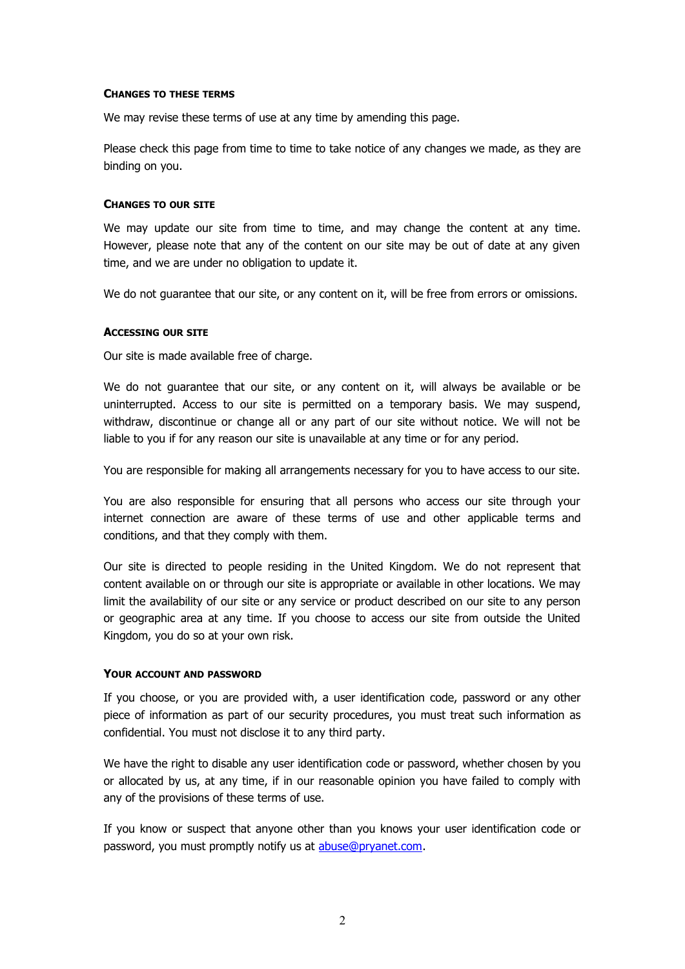#### **CHANGES TO THESE TERMS**

We may revise these terms of use at any time by amending this page.

Please check this page from time to time to take notice of any changes we made, as they are binding on you.

#### **CHANGES TO OUR SITE**

We may update our site from time to time, and may change the content at any time. However, please note that any of the content on our site may be out of date at any given time, and we are under no obligation to update it.

We do not quarantee that our site, or any content on it, will be free from errors or omissions.

#### **ACCESSING OUR SITE**

Our site is made available free of charge.

We do not guarantee that our site, or any content on it, will always be available or be uninterrupted. Access to our site is permitted on a temporary basis. We may suspend, withdraw, discontinue or change all or any part of our site without notice. We will not be liable to you if for any reason our site is unavailable at any time or for any period.

You are responsible for making all arrangements necessary for you to have access to our site.

You are also responsible for ensuring that all persons who access our site through your internet connection are aware of these terms of use and other applicable terms and conditions, and that they comply with them.

Our site is directed to people residing in the United Kingdom. We do not represent that content available on or through our site is appropriate or available in other locations. We may limit the availability of our site or any service or product described on our site to any person or geographic area at any time. If you choose to access our site from outside the United Kingdom, you do so at your own risk.

## **YOUR ACCOUNT AND PASSWORD**

If you choose, or you are provided with, a user identification code, password or any other piece of information as part of our security procedures, you must treat such information as confidential. You must not disclose it to any third party.

We have the right to disable any user identification code or password, whether chosen by you or allocated by us, at any time, if in our reasonable opinion you have failed to comply with any of the provisions of these terms of use.

If you know or suspect that anyone other than you knows your user identification code or password, you must promptly notify us at [abuse@pryanet.com.](mailto:abuse@pryanet.com)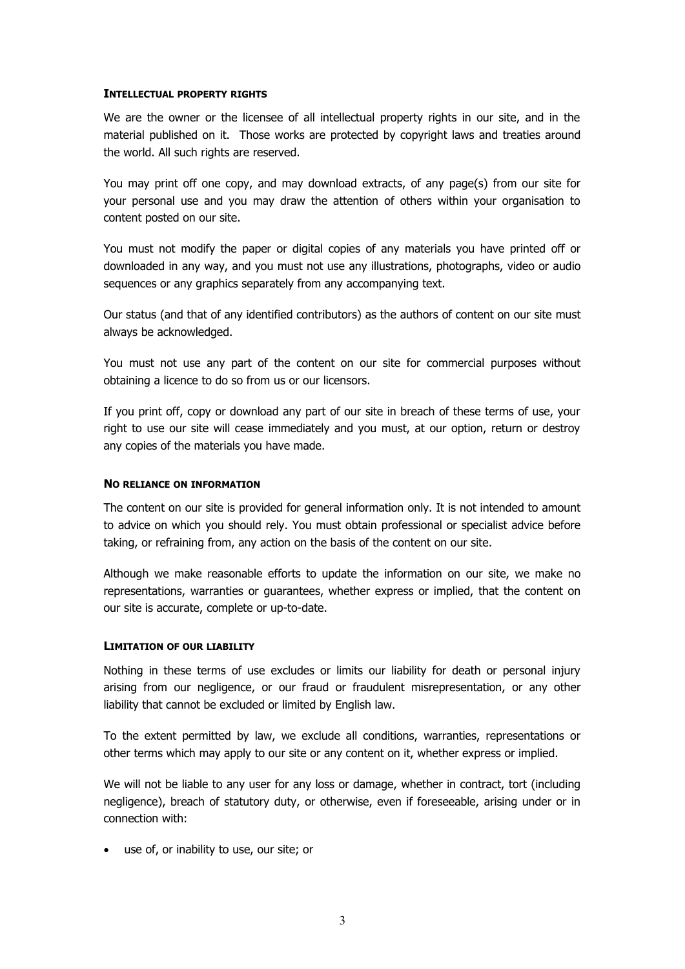#### **INTELLECTUAL PROPERTY RIGHTS**

We are the owner or the licensee of all intellectual property rights in our site, and in the material published on it. Those works are protected by copyright laws and treaties around the world. All such rights are reserved.

You may print off one copy, and may download extracts, of any page(s) from our site for your personal use and you may draw the attention of others within your organisation to content posted on our site.

You must not modify the paper or digital copies of any materials you have printed off or downloaded in any way, and you must not use any illustrations, photographs, video or audio sequences or any graphics separately from any accompanying text.

Our status (and that of any identified contributors) as the authors of content on our site must always be acknowledged.

You must not use any part of the content on our site for commercial purposes without obtaining a licence to do so from us or our licensors.

If you print off, copy or download any part of our site in breach of these terms of use, your right to use our site will cease immediately and you must, at our option, return or destroy any copies of the materials you have made.

#### **NO RELIANCE ON INFORMATION**

The content on our site is provided for general information only. It is not intended to amount to advice on which you should rely. You must obtain professional or specialist advice before taking, or refraining from, any action on the basis of the content on our site.

Although we make reasonable efforts to update the information on our site, we make no representations, warranties or guarantees, whether express or implied, that the content on our site is accurate, complete or up-to-date.

#### **LIMITATION OF OUR LIABILITY**

Nothing in these terms of use excludes or limits our liability for death or personal injury arising from our negligence, or our fraud or fraudulent misrepresentation, or any other liability that cannot be excluded or limited by English law.

To the extent permitted by law, we exclude all conditions, warranties, representations or other terms which may apply to our site or any content on it, whether express or implied.

We will not be liable to any user for any loss or damage, whether in contract, tort (including negligence), breach of statutory duty, or otherwise, even if foreseeable, arising under or in connection with:

· use of, or inability to use, our site; or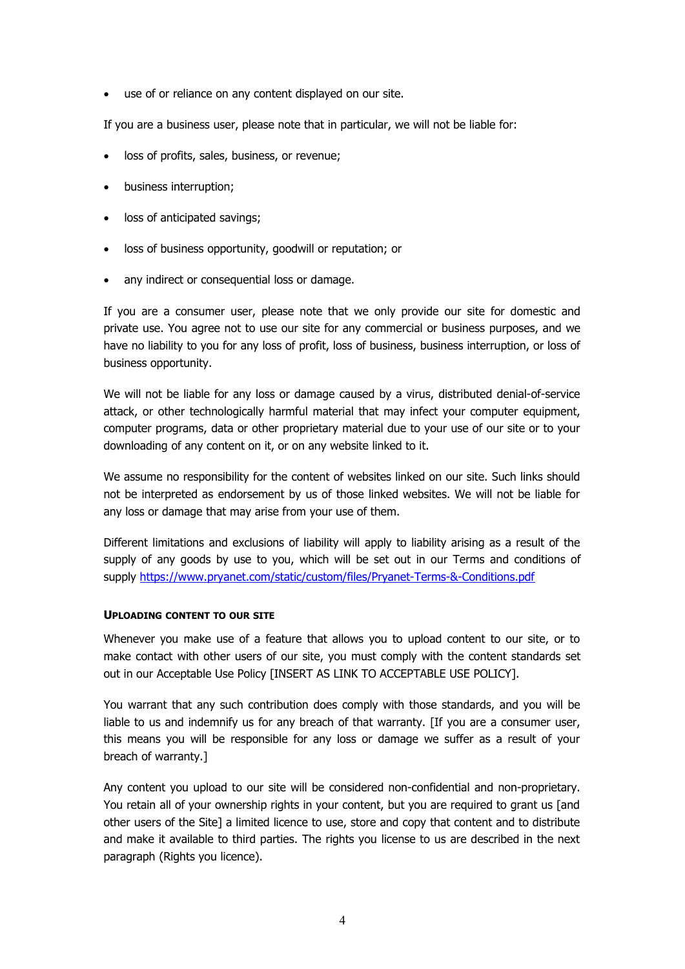· use of or reliance on any content displayed on our site.

If you are a business user, please note that in particular, we will not be liable for:

- loss of profits, sales, business, or revenue;
- · business interruption;
- · loss of anticipated savings;
- loss of business opportunity, goodwill or reputation; or
- · any indirect or consequential loss or damage.

If you are a consumer user, please note that we only provide our site for domestic and private use. You agree not to use our site for any commercial or business purposes, and we have no liability to you for any loss of profit, loss of business, business interruption, or loss of business opportunity.

We will not be liable for any loss or damage caused by a virus, distributed denial-of-service attack, or other technologically harmful material that may infect your computer equipment, computer programs, data or other proprietary material due to your use of our site or to your downloading of any content on it, or on any website linked to it.

We assume no responsibility for the content of websites linked on our site. Such links should not be interpreted as endorsement by us of those linked websites. We will not be liable for any loss or damage that may arise from your use of them.

Different limitations and exclusions of liability will apply to liability arising as a result of the supply of any goods by use to you, which will be set out in our Terms and conditions of supply<https://www.pryanet.com/static/custom/files/Pryanet-Terms-&-Conditions.pdf>

# **UPLOADING CONTENT TO OUR SITE**

Whenever you make use of a feature that allows you to upload content to our site, or to make contact with other users of our site, you must comply with the content standards set out in our Acceptable Use Policy [INSERT AS LINK TO ACCEPTABLE USE POLICY].

You warrant that any such contribution does comply with those standards, and you will be liable to us and indemnify us for any breach of that warranty. [If you are a consumer user, this means you will be responsible for any loss or damage we suffer as a result of your breach of warranty.]

Any content you upload to our site will be considered non-confidential and non-proprietary. You retain all of your ownership rights in your content, but you are required to grant us [and other users of the Site] a limited licence to use, store and copy that content and to distribute and make it available to third parties. The rights you license to us are described in the next paragraph (Rights you licence).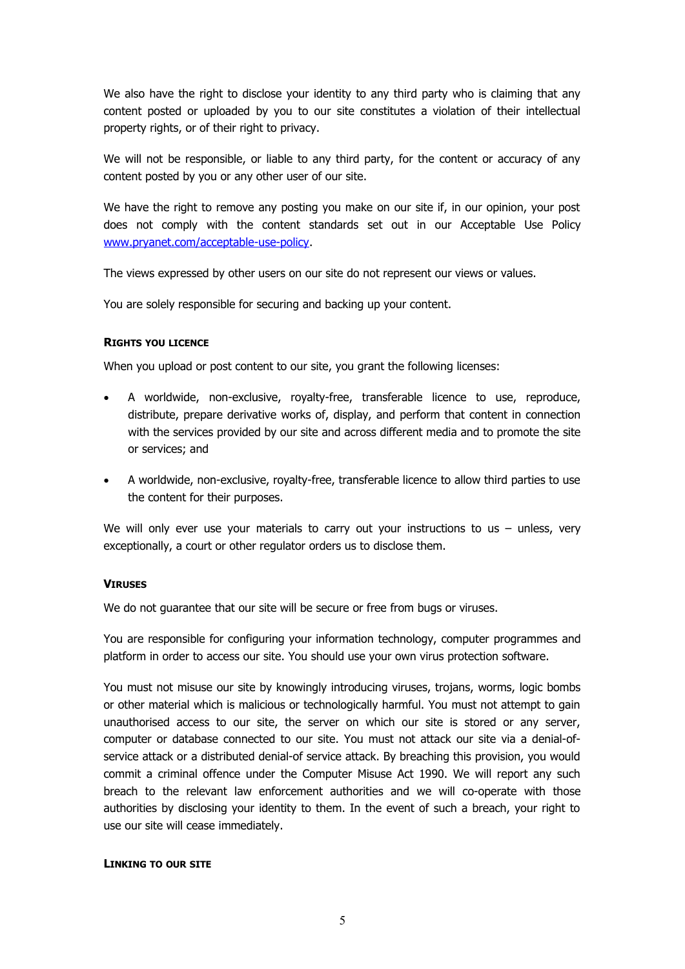We also have the right to disclose your identity to any third party who is claiming that any content posted or uploaded by you to our site constitutes a violation of their intellectual property rights, or of their right to privacy.

We will not be responsible, or liable to any third party, for the content or accuracy of any content posted by you or any other user of our site.

We have the right to remove any posting you make on our site if, in our opinion, your post does not comply with the content standards set out in our Acceptable Use Policy [www.pryanet.com/acceptable-use-policy.](http://www.pryanet.com/acceptable-use-policy)

The views expressed by other users on our site do not represent our views or values.

You are solely responsible for securing and backing up your content.

## **RIGHTS YOU LICENCE**

When you upload or post content to our site, you grant the following licenses:

- · A worldwide, non-exclusive, royalty-free, transferable licence to use, reproduce, distribute, prepare derivative works of, display, and perform that content in connection with the services provided by our site and across different media and to promote the site or services; and
- · A worldwide, non-exclusive, royalty-free, transferable licence to allow third parties to use the content for their purposes.

We will only ever use your materials to carry out your instructions to us  $-$  unless, very exceptionally, a court or other regulator orders us to disclose them.

## **VIRUSES**

We do not guarantee that our site will be secure or free from bugs or viruses.

You are responsible for configuring your information technology, computer programmes and platform in order to access our site. You should use your own virus protection software.

You must not misuse our site by knowingly introducing viruses, trojans, worms, logic bombs or other material which is malicious or technologically harmful. You must not attempt to gain unauthorised access to our site, the server on which our site is stored or any server, computer or database connected to our site. You must not attack our site via a denial-ofservice attack or a distributed denial-of service attack. By breaching this provision, you would commit a criminal offence under the Computer Misuse Act 1990. We will report any such breach to the relevant law enforcement authorities and we will co-operate with those authorities by disclosing your identity to them. In the event of such a breach, your right to use our site will cease immediately.

## **LINKING TO OUR SITE**